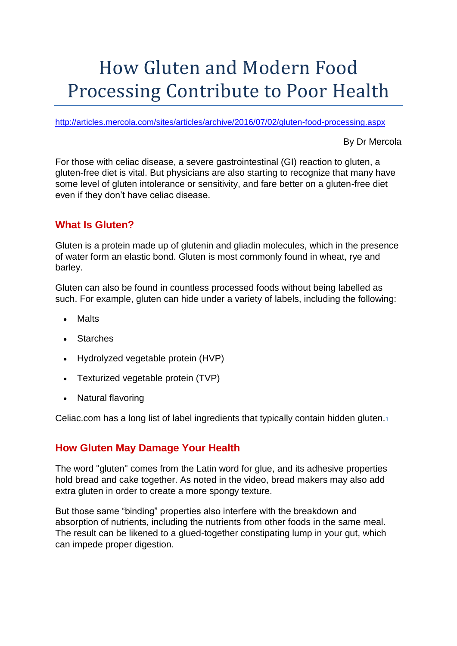# How Gluten and Modern Food Processing Contribute to Poor Health

<http://articles.mercola.com/sites/articles/archive/2016/07/02/gluten-food-processing.aspx>

By Dr Mercola

For those with celiac disease, a severe gastrointestinal (GI) reaction to gluten, a gluten-free diet is vital. But physicians are also starting to recognize that many have some level of gluten intolerance or sensitivity, and fare better on a gluten-free diet even if they don't have celiac disease.

# **What Is Gluten?**

Gluten is a protein made up of glutenin and gliadin molecules, which in the presence of water form an elastic bond. Gluten is most commonly found in wheat, rye and barley.

Gluten can also be found in countless processed foods without being labelled as such. For example, gluten can hide under a variety of labels, including the following:

- Malts
- **Starches**
- Hydrolyzed vegetable protein (HVP)
- Texturized vegetable protein (TVP)
- Natural flavoring

Celiac.com has a long list of label ingredients that typically contain hidden gluten.[1](http://cadmin.mercola.com/MercolaAdmin/NewsletterPostEditor.aspx?PostID=785496#_edn1)

# **How Gluten May Damage Your Health**

The word "gluten" comes from the Latin word for glue, and its adhesive properties hold bread and cake together. As noted in the video, bread makers may also add extra gluten in order to create a more spongy texture.

But those same "binding" properties also interfere with the breakdown and absorption of nutrients, including the nutrients from other foods in the same meal. The result can be likened to a glued-together constipating lump in your gut, which can impede proper digestion.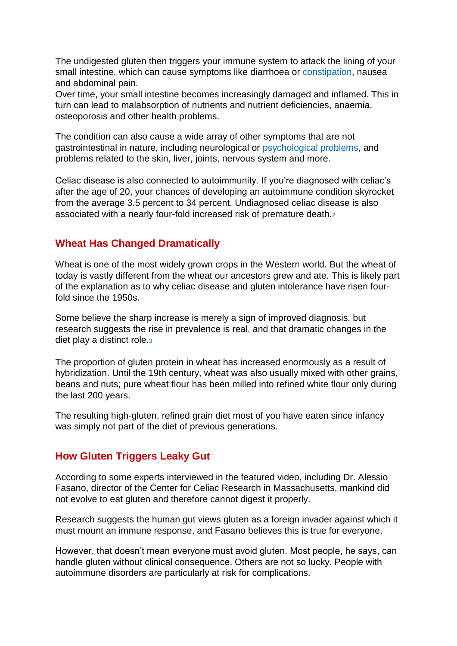The undigested gluten then triggers your immune system to attack the lining of your small intestine, which can cause symptoms like diarrhoea or [constipation,](http://articles.mercola.com/sites/articles/archive/2015/11/25/chronic-constipation-signs.aspx) nausea and abdominal pain.

Over time, your small intestine becomes increasingly damaged and inflamed. This in turn can lead to malabsorption of nutrients and nutrient deficiencies, anaemia, osteoporosis and other health problems.

The condition can also cause a wide array of other symptoms that are not gastrointestinal in nature, including neurological or [psychological problems,](http://articles.mercola.com/sites/articles/archive/2013/06/22/gluten-grains-cause-schizophrenia.aspx) and problems related to the skin, liver, joints, nervous system and more.

Celiac disease is also connected to autoimmunity. If you're diagnosed with celiac's after the age of 20, your chances of developing an autoimmune condition skyrocket from the average 3.5 percent to 34 percent. Undiagnosed celiac disease is also associated with a nearly four-fold increased risk of premature death.[2](http://articles.mercola.com/sites/articles/archive/2016/07/02/gluten-food-processing.aspx#_edn2)

#### **Wheat Has Changed Dramatically**

Wheat is one of the most widely grown crops in the Western world. But the wheat of today is vastly different from the wheat our ancestors grew and ate. This is likely part of the explanation as to why celiac disease and gluten intolerance have risen fourfold since the 1950s.

Some believe the sharp increase is merely a sign of improved diagnosis, but research suggests the rise in prevalence is real, and that dramatic changes in the diet play a distinct role.[3](http://articles.mercola.com/sites/articles/archive/2016/07/02/gluten-food-processing.aspx#_edn3)

The proportion of gluten protein in wheat has increased enormously as a result of hybridization. Until the 19th century, wheat was also usually mixed with other grains, beans and nuts; pure wheat flour has been milled into refined white flour only during the last 200 years.

The resulting high-gluten, refined grain diet most of you have eaten since infancy was simply not part of the diet of previous generations.

#### **How Gluten Triggers Leaky Gut**

According to some experts interviewed in the featured video, including Dr. Alessio Fasano, director of the Center for Celiac Research in Massachusetts, mankind did not evolve to eat gluten and therefore cannot digest it properly.

Research suggests the human gut views gluten as a foreign invader against which it must mount an immune response, and Fasano believes this is true for everyone.

However, that doesn't mean everyone must avoid gluten. Most people, he says, can handle gluten without clinical consequence. Others are not so lucky. People with autoimmune disorders are particularly at risk for complications.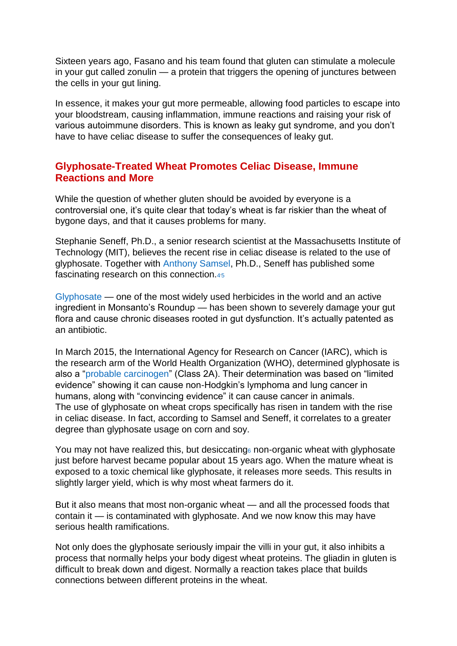Sixteen years ago, Fasano and his team found that gluten can stimulate a molecule in your gut called zonulin — a protein that triggers the opening of junctures between the cells in your gut lining.

In essence, it makes your gut more permeable, allowing food particles to escape into your bloodstream, causing inflammation, immune reactions and raising your risk of various autoimmune disorders. This is known as leaky gut syndrome, and you don't have to have celiac disease to suffer the consequences of leaky gut.

#### **Glyphosate-Treated Wheat Promotes Celiac Disease, Immune Reactions and More**

While the question of whether gluten should be avoided by everyone is a controversial one, it's quite clear that today's wheat is far riskier than the wheat of bygone days, and that it causes problems for many.

Stephanie Seneff, Ph.D., a senior research scientist at the Massachusetts Institute of Technology (MIT), believes the recent rise in celiac disease is related to the use of glyphosate. Together with [Anthony Samsel,](http://articles.mercola.com/sites/articles/archive/2015/07/05/glyphosate-cancer.aspx) Ph.D., Seneff has published some fascinating research on this connection.[4](http://articles.mercola.com/sites/articles/archive/2016/07/02/gluten-food-processing.aspx#_edn4)[5](http://articles.mercola.com/sites/articles/archive/2016/07/02/gluten-food-processing.aspx#_edn5)

[Glyphosate](http://articles.mercola.com/sites/articles/archive/2015/12/15/glyphosate-modern-diseases-pathway.aspx) — one of the most widely used herbicides in the world and an active ingredient in Monsanto's Roundup — has been shown to severely damage your gut flora and cause chronic diseases rooted in gut dysfunction. It's actually patented as an antibiotic.

In March 2015, the International Agency for Research on Cancer (IARC), which is the research arm of the World Health Organization (WHO), determined glyphosate is also a ["probable carcinogen"](http://articles.mercola.com/sites/articles/archive/2015/04/28/relabel-roundup-glyphosate.aspx) (Class 2A). Their determination was based on "limited evidence" showing it can cause non-Hodgkin's lymphoma and lung cancer in humans, along with "convincing evidence" it can cause cancer in animals. The use of glyphosate on wheat crops specifically has risen in tandem with the rise in celiac disease. In fact, according to Samsel and Seneff, it correlates to a greater degree than glyphosate usage on corn and soy.

You may not have realized this, but desiccating non-organic wheat with glyphosate just before harvest became popular about 15 years ago. When the mature wheat is exposed to a toxic chemical like glyphosate, it releases more seeds. This results in slightly larger yield, which is why most wheat farmers do it.

But it also means that most non-organic wheat — and all the processed foods that contain it — is contaminated with glyphosate. And we now know this may have serious health ramifications.

Not only does the glyphosate seriously impair the villi in your gut, it also inhibits a process that normally helps your body digest wheat proteins. The gliadin in gluten is difficult to break down and digest. Normally a reaction takes place that builds connections between different proteins in the wheat.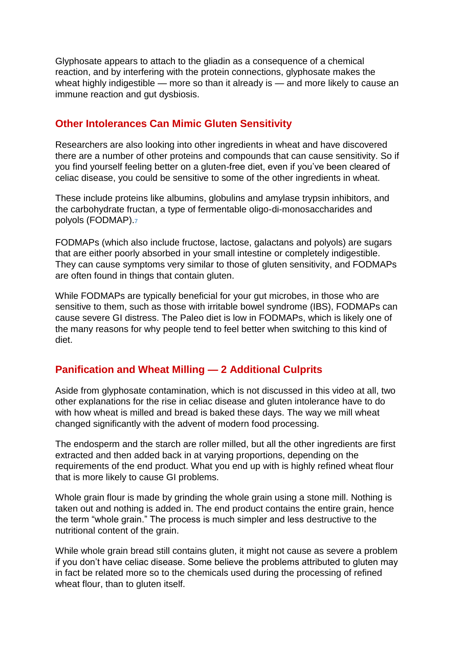Glyphosate appears to attach to the gliadin as a consequence of a chemical reaction, and by interfering with the protein connections, glyphosate makes the wheat highly indigestible — more so than it already is — and more likely to cause an immune reaction and gut dysbiosis.

#### **Other Intolerances Can Mimic Gluten Sensitivity**

Researchers are also looking into other ingredients in wheat and have discovered there are a number of other proteins and compounds that can cause sensitivity. So if you find yourself feeling better on a gluten-free diet, even if you've been cleared of celiac disease, you could be sensitive to some of the other ingredients in wheat.

These include proteins like albumins, globulins and amylase trypsin inhibitors, and the carbohydrate fructan, a type of fermentable oligo-di-monosaccharides and polyols (FODMAP).[7](http://articles.mercola.com/sites/articles/archive/2016/07/02/gluten-food-processing.aspx#_edn7)

FODMAPs (which also include fructose, lactose, galactans and polyols) are sugars that are either poorly absorbed in your small intestine or completely indigestible. They can cause symptoms very similar to those of gluten sensitivity, and FODMAPs are often found in things that contain gluten.

While FODMAPs are typically beneficial for your gut microbes, in those who are sensitive to them, such as those with irritable bowel syndrome (IBS), FODMAPs can cause severe GI distress. The Paleo diet is low in FODMAPs, which is likely one of the many reasons for why people tend to feel better when switching to this kind of diet.

### **Panification and Wheat Milling — 2 Additional Culprits**

Aside from glyphosate contamination, which is not discussed in this video at all, two other explanations for the rise in celiac disease and gluten intolerance have to do with how wheat is milled and bread is baked these days. The way we mill wheat changed significantly with the advent of modern food processing.

The endosperm and the starch are roller milled, but all the other ingredients are first extracted and then added back in at varying proportions, depending on the requirements of the end product. What you end up with is highly refined wheat flour that is more likely to cause GI problems.

Whole grain flour is made by grinding the whole grain using a stone mill. Nothing is taken out and nothing is added in. The end product contains the entire grain, hence the term "whole grain." The process is much simpler and less destructive to the nutritional content of the grain.

While whole grain bread still contains gluten, it might not cause as severe a problem if you don't have celiac disease. Some believe the problems attributed to gluten may in fact be related more so to the chemicals used during the processing of refined wheat flour, than to gluten itself.